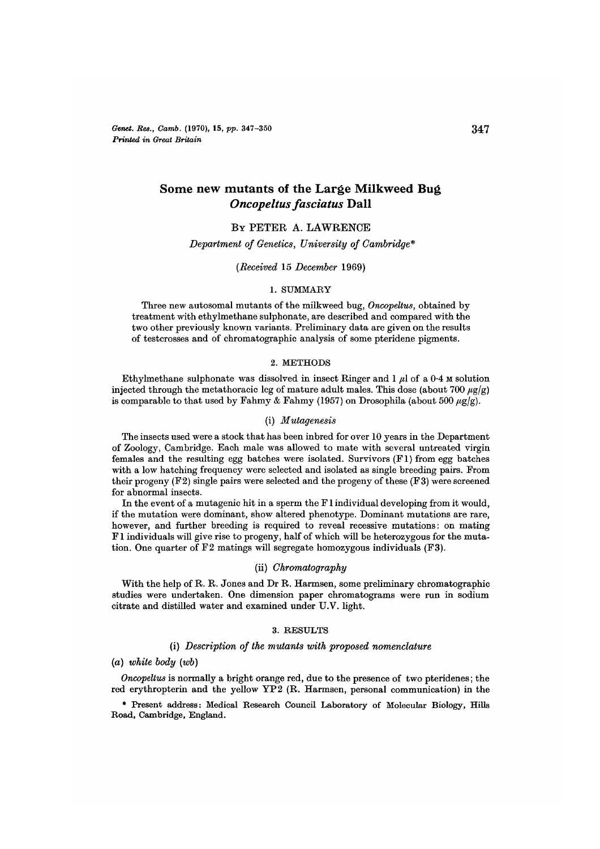*Genet. Res., Camb.* (1970), 15, *pp.* 347-350 **34 7** *Printed in Great Britain*

# Some new mutants of the Large Milkweed Bug *Oncopeltus fasciatus* Dall

# BY PETER A. LAWRENCE

#### *Department of Genetics, University of Cambridge\**

#### *{Received* 15 *December* 1969)

#### 1. SUMMARY

Three new autosomal mutants of the milkweed bug, *Oncopeltus,* obtained by treatment with ethylmethane sulphonate, are described and compared with the two other previously known variants. Preliminary data are given on the results of testcrosses and of chromatographic analysis of some pteridene pigments.

### 2. METHODS

Ethylmethane sulphonate was dissolved in insect Ringer and  $1 \mu$ l of a 0.4 M solution injected through the metathoracic leg of mature adult males. This dose (about 700  $\mu$ g/g) is comparable to that used by Fahmy & Fahmy (1957) on Drosophila (about 500  $\mu$ g/g).

#### (i) *Mutagenesis*

The insects used were a stock that has been inbred for over 10 years in the Department of Zoology, Cambridge. Each male was allowed to mate with several untreated virgin females and the resulting egg batches were isolated. Survivors (Fl) from egg batches with a low hatching frequency were selected and isolated as single breeding pairs. From their progeny  $(F2)$  single pairs were selected and the progeny of these  $(F3)$  were screened for abnormal insects.

In the event of a mutagenic hit in a sperm the F1 individual developing from it would, if the mutation were dominant, show altered phenotype. Dominant mutations are rare, however, and further breeding is required to reveal F1 individuals will give rise to progeny, half of which will be heterozygous for the muta- tion. One quarter of F2 matings will segregate homozygous individuals (F3).

### (ii) *Chromatography*

With the help of R. R. Jones and Dr R. Harmsen, some preliminary chromatographic studies were undertaken. One dimension paper chromatograms were run in sodium citrate and distilled water and examined under U.V. light.

#### 3. RESULTS

### (i) *Description of the mutants with proposed nomenclature*

(a) *white body (wb)*

*Oncopeltus* is normally a bright orange red, due to the presence of two pteridenes; the red erythropterin and the yellow YP2 (R. Harmsen, personal communication) in the

\* Present address: Medical Research Council Laboratory of Molecular Biology, Hills Road, Cambridge, England.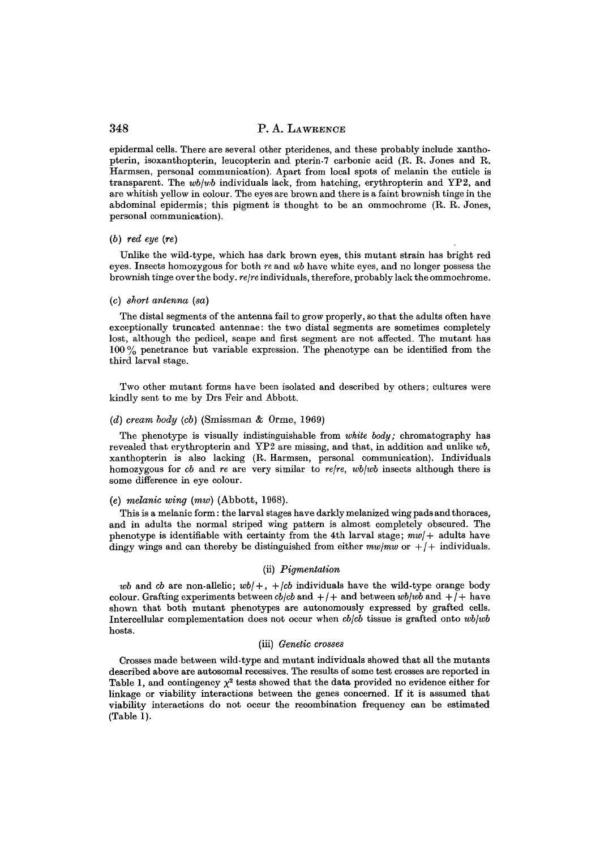epidermal cells. There are several other pteridenes, and these probably include xanthopterin, isoxanthopterin, leucopterin and pterin-7 carbonic acid (R. R. Jones and R. Harmsen, personal communication). Apart from local spots of melanin the cuticle is transparent. The *wb\wb* individuals lack, from hatching, erythropterin and YP2, and are whitish yellow in colour. The eyes are brown and there is a faint brownish tinge in the abdominal epidermis; this pigment is thought to be an ommochrome (R. R. Jones, personal communication).

### *(b) red eye (re)*

Unlike the wild-type, which has dark brown eyes, this mutant strain has bright red eyes. Insects homozygous for both *re* and *wb* have white eyes, and no longer possess the brownish tinge over the body, *rejre* individuals, therefore, probably lack the ommochrome.

#### *(c) short antenna (set)*

The distal segments of the antenna fail to grow properly, so that the adults often have exceptionally truncated antennae: the two distal segments are sometimes completely lost, although the pedicel, scape and first segment are not affected. The mutant has 100 % penetrance but variable expression. The phenotype can be identified from the third larval stage.

Two other mutant forms have been isolated and described by others; cultures were kindly sent to me by Drs Feir and Abbott.

#### *(d) cream body (cb)* (Smissman & Orme, 1969)

The phenotype is visually indistinguishable from *white body;* chromatography has revealed that erythropterin and YP2 are missing, and that, in addition and unlike *wb,* xanthopterin is also lacking (R. Harmsen, personal communication). Individuals homozygous for *cb* and *re* are very similar to *rejre, wbjwb* insects although there is some difference in eye colour.

## *(e) melanic wing (mw)* (Abbott, 1968).

This is a melanic form: the larval stages have darkly melanized wing pads and thoraces, and in adults the normal striped wing pattern is almost completely obscured. The phenotype is identifiable with certainty from the 4th larval stage; *mw[+* adults have dingy wings and can thereby be distinguished from either  $mw/mw$  or  $+/+$  individuals.

### (ii) *Pigmentation*

*wb* and *cb* are non-allelic;  $wb/+$ ,  $+/cb$  individuals have the wild-type orange body colour. Grafting experiments between  $cb/cb$  and  $+/+$  and between  $wb/wb$  and  $+/+$  have shown that both mutant phenotypes are autonomously expressed by grafted cells. Intercellular complementation does not occur when *cb/cb* tissue is grafted onto *wb/wb* hosts.

#### (iii) *Genetic crosses*

Crosses made between wild-type and mutant individuals showed that all the mutants described above are autosomal recessives. The results of some test crosses are reported in Table 1, and contingency  $\chi^2$  tests showed that the data provided no evidence either for linkage or viability interactions between the genes concerned. If it is assumed that viability interactions do not occur the recombination frequency can be estimated (Table 1).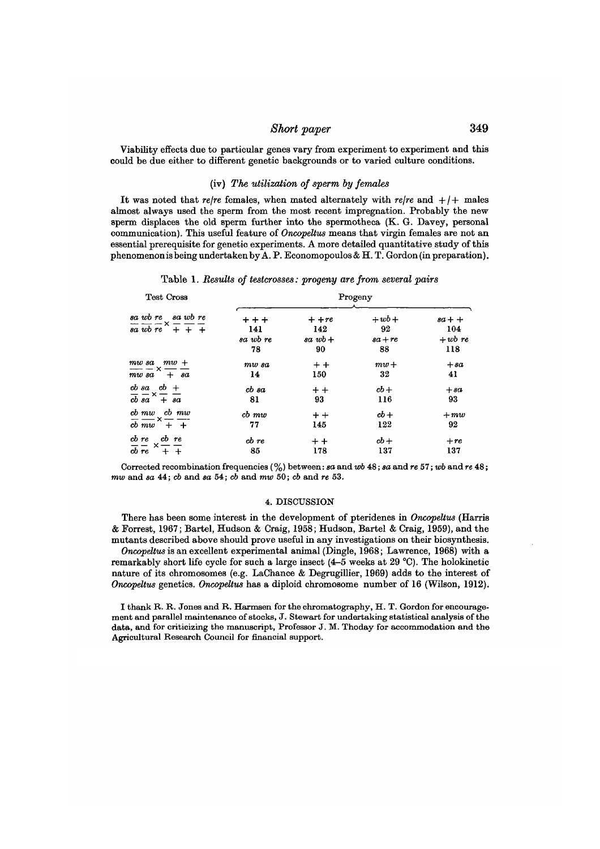# *Short paper* 349

Viability effects due to particular genes vary from experiment to experiment and this could be due either to different genetic backgrounds or to varied culture conditions.

### (iv) *The utilization of sperm by females*

It was noted that *re/re* females, when mated alternately with *re/re* and  $+/+$  males almost always used the sperm from the most recent impregnation. Probably the new sperm displaces the old sperm further into the spermotheca (K. G. Davey, personal communication). This useful feature of *Oncopeltus* means that virgin females are not an essential prerequisite for genetic experiments. A more detailed quantitative study of this phenomenon is being undertaken by A. P. Economopoulos & H. T. Gordon (in preparation).

Table 1. *Results of testcrosses: progeny are from several pairs*

| <b>Test Cross</b>                                                                                                       | Progeny                          |                                  |                               |                                     |
|-------------------------------------------------------------------------------------------------------------------------|----------------------------------|----------------------------------|-------------------------------|-------------------------------------|
| sa wb re sa wb re<br>$\frac{1}{\sqrt{a}}\frac{1}{\sqrt{b}}\frac{1}{\sqrt{c}}\times\frac{1}{\sqrt{c}}\frac{1}{\sqrt{c}}$ | $+ + +$<br>141<br>sa wb re<br>78 | $+ + re$<br>142<br>$sawb+$<br>90 | $+wb+$<br>92<br>$sa+re$<br>88 | $sa + +$<br>104<br>$+$ wb re<br>118 |
| $m w s a$ $m w +$<br>—— x —— —<br>$m w s a + s a$                                                                       | $mw$ $sa$<br>14                  | $+ +$<br>150                     | $mw+$<br>32                   | $+sa$<br>41                         |
| $\frac{ab \cdot \sin(b)}{b}$ +                                                                                          | $cb\ sa$                         | $+ +$                            | $cb +$                        | $+sa$                               |
| $\overline{cb} \overline{sa} \times \overline{+} \overline{sa}$                                                         | 81                               | 93                               | 116                           | 93                                  |
| cb mw cb mw                                                                                                             | $cb$ $mw$                        | $+ +$                            | $cb +$                        | $+mw$                               |
| $\overline{cb}$ $\overline{mw}$ $\overline{+}$ $\overline{+}$                                                           | 77                               | 145                              | 122                           | 92                                  |
| $\frac{cb}{cb} \frac{re}{re} \times \frac{cb}{+} \frac{re}{+}$                                                          | cb re                            | $+ +$                            | $cb +$                        | $+re$                               |
|                                                                                                                         | 85                               | 178                              | 137                           | 137                                 |

Corrected recombination frequencies (%) between: *sa* and *wb* 48; *sa* and *re* 57; *wb* and re 48; *mw* and *sa* 44; *cb* and *sa* 54; *cb* and *mw* 50; *cb* and *re* 53.

### 4. DISCUSSION

There has been some interest in the development of pteridenes in *Oncopeltus* (Harris & Forrest, 1967; Bartel, Hudson & Craig, 1958; Hudson, Bartel & Craig, 1959), and the mutants described above should prove useful in any investigations on their biosynthesis.

*Oncopeltus* is an excellent experimental animal (Dingle, 1968; Lawrence, 1968) with a remarkably short life cycle for such a large insect  $(4–5$  weeks at 29 °C). The holokinetic nature of its chromosomes (e.g. LaChance & Degrugillier, 1969) adds to the interest of *Oncopeltus* genetics. *Oncopeltus* has a diploid chromosome number of 16 (Wilson, 1912).

I thank R. R. Jones and R. Harmsen for the chromatography, H. T. Gordon for encourage- ment and parallel maintenance of stocks, J. Stewart for undertaking statistical analysis of the data, and for criticizing the manuscript, Professor J. M. Thoday for accommodation and the Agricultural Research Council for financial support.